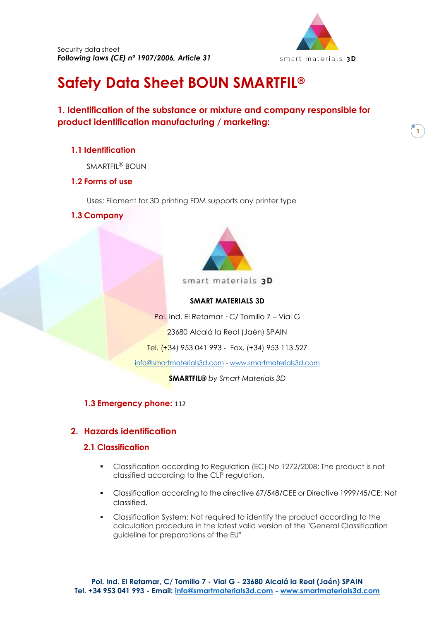

**1**

# **Safety Data Sheet BOUN SMARTFIL ®**

# **1. Identification of the substance or mixture and company responsible for product identification manufacturing / marketing:**

# **1.1 Identification**

SMARTFIL® BOUN

# **1.2 Forms of use**

Uses: Filament for 3D printing FDM supports any printer type

**1.3 Company**



smart materials 3D

## **SMART MATERIALS 3D**

Pol. Ind. El Retamar · C/ Tomillo 7 – Vial G

23680 Alcalá la Real (Jaén) SPAIN

Tel. (+34) 953 041 993 - Fax. (+34) 953 113 527

[info@smartmaterials3d.com](mailto:info@smartmaterials3d.com) - [www.smartmaterials3d.com](http://www.smartmaterials3d.com/)

**SMARTFIL®** *by Smart Materials 3D*

## **1.3 Emergency phone:** 112

# **2. Hazards identification**

## **2.1 Classification**

- Classification according to Regulation (EC) No 1272/2008: The product is not classified according to the CLP regulation.
- Classification according to the directive 67/548/CEE or Directive 1999/45/CE: Not classified.
- Classification System: Not required to identify the product according to the calculation procedure in the latest valid version of the "General Classification guideline for preparations of the EU"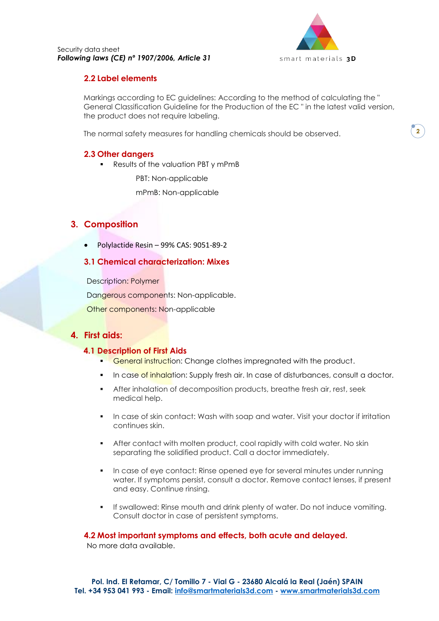

## **2.2 Label elements**

Markings according to EC guidelines: According to the method of calculating the " General Classification Guideline for the Production of the EC " in the latest valid version, the product does not require labeling.

The normal safety measures for handling chemicals should be observed.

## **2.3 Other dangers**

■ Results of the valuation PBT y mPmB

PBT: Non-applicable

mPmB: Non-applicable

# **3. Composition**

• Polylactide Resin – 99% CAS: 9051-89-2

## **3.1 Chemical characterization: Mixes**

Description: Polymer

Dangerous components: Non-applicable.

Other components: Non-applicable

# **4. First aids:**

#### **4.1 Description of First Aids**

- **EXTERN** General instruction: Change clothes impregnated with the product.
- **In case of inhalation: Supply fresh air. In case of disturbances, consult a doctor.**
- After inhalation of decomposition products, breathe fresh air, rest, seek medical help.
- In case of skin contact: Wash with soap and water. Visit your doctor if irritation continues skin.
- **EXECT** After contact with molten product, cool rapidly with cold water. No skin separating the solidified product. Call a doctor immediately.
- In case of eye contact: Rinse opened eye for several minutes under running water. If symptoms persist, consult a doctor. Remove contact lenses, if present and easy. Continue rinsing.
- If swallowed: Rinse mouth and drink plenty of water. Do not induce vomiting. Consult doctor in case of persistent symptoms.

## **4.2 Most important symptoms and effects, both acute and delayed.**

No more data available.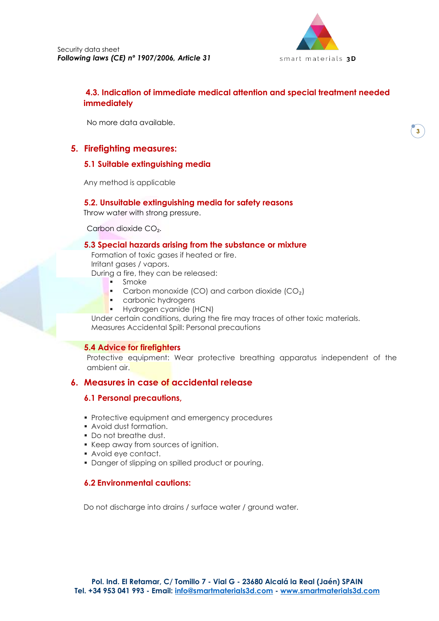

# **4.3. Indication of immediate medical attention and special treatment needed immediately**

No more data available.

# **5. Firefighting measures:**

## **5.1 Suitable extinguishing media**

Any method is applicable

## **5.2. Unsuitable extinguishing media for safety reasons**

Throw water with strong pressure.

Carbon dioxide CO₂.

#### **5.3 Special hazards arising from the substance or mixture**

Formation of toxic gases if heated or fire. Irritant gases / vapors.

During a fire, they can be released:

- **Smoke**
- Carbon monoxide (CO) and carbon dioxide (CO<sub>2</sub>)
- carbonic hydrogens
- **■** Hydrogen cyanide (HCN)

Under certain conditions, during the fire may traces of other toxic materials. Measures Accidental Spill: Personal precautions

#### **5.4 Advice for firefighters**

Protective equipment: Wear protective breathing apparatus independent of the ambient air.

## **6. Measures in case of accidental release**

## **6.1 Personal precautions,**

- Protective equipment and emergency procedures
- Avoid dust formation.
- Do not breathe dust.
- Keep away from sources of ignition.
- Avoid eye contact.
- Danger of slipping on spilled product or pouring.

## **6.2 Environmental cautions:**

Do not discharge into drains / surface water / ground water.

**3**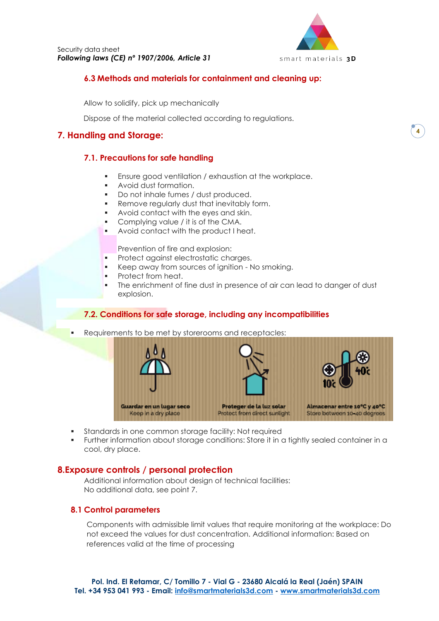

**4**

## **6.3 Methods and materials for containment and cleaning up:**

Allow to solidify, pick up mechanically

Dispose of the material collected according to regulations.

# **7. Handling and Storage:**

## **7.1. Precautions for safe handling**

- Ensure good ventilation / exhaustion at the workplace.
- Avoid dust formation.
- Do not inhale fumes / dust produced.
- Remove regularly dust that inevitably form.
- Avoid contact with the eyes and skin.
- Complying value / it is of the CMA.
- Avoid contact with the product I heat.

Prevention of fire and explosion:

- Protect against electrostatic charges.
- Keep away from sources of ignition No smoking.
- Protect from heat.
- The enrichment of fine dust in presence of air can lead to danger of dust explosion.

## **7.2. Conditions for safe storage, including any incompatibilities**

Requirements to be met by storerooms and receptacles:



- Standards in one common storage facility: Not required
- Further information about storage conditions: Store it in a tightly sealed container in a cool, dry place.

## **8.Exposure controls / personal protection**

Additional information about design of technical facilities: No additional data, see point 7.

## **8.1 Control parameters**

Components with admissible limit values that require monitoring at the workplace: Do not exceed the values for dust concentration. Additional information: Based on references valid at the time of processing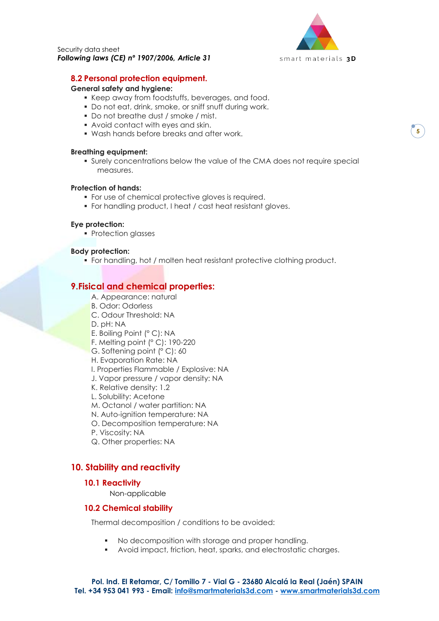

#### **8.2 Personal protection equipment.**

#### **General safety and hygiene:**

- Keep away from foodstuffs, beverages, and food.
- Do not eat, drink, smoke, or sniff snuff during work.
- Do not breathe dust / smoke / mist.
- Avoid contact with eyes and skin.
- Wash hands before breaks and after work.

#### **Breathing equipment:**

▪ Surely concentrations below the value of the CMA does not require special measures.

#### **Protection of hands:**

- **•** For use of chemical protective gloves is required.
- For handling product, I heat / cast heat resistant gloves.

#### **Eye protection:**

■ Protection glasses

#### **Body protection:**

▪ For handling, hot / molten heat resistant protective clothing product.

## **9.Fisical and chemical properties:**

- A. Appearance: natural
- B. Odor: Odorless
- C. Odour Threshold: NA
- D. pH: NA
- E. Boiling Point (° C): NA
- F. Melting point (° C): 190-220
- G. Softening point (° C): 60
- H. Evaporation Rate: NA
- I. Properties Flammable / Explosive: NA
- J. Vapor pressure / vapor density: NA
- K. Relative density: 1.2
- L. Solubility: Acetone
- M. Octanol / water partition: NA
- N. Auto-ignition temperature: NA
- O. Decomposition temperature: NA
- P. Viscosity: NA
- Q. Other properties: NA

# **10. Stability and reactivity**

#### **10.1 Reactivity**

Non-applicable

#### **10.2 Chemical stability**

Thermal decomposition / conditions to be avoided:

- No decomposition with storage and proper handling.
- Avoid impact, friction, heat, sparks, and electrostatic charges.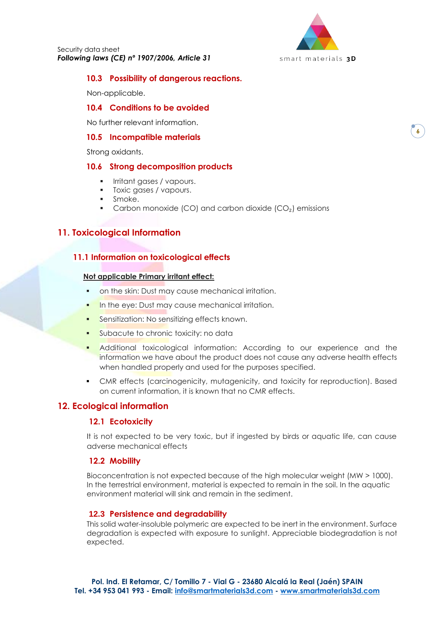

#### **10.3 Possibility of dangerous reactions.**

Non-applicable.

## **10.4 Conditions to be avoided**

No further relevant information.

#### **10.5 Incompatible materials**

Strong oxidants.

#### **10.6 Strong decomposition products**

- **·** Irritant gases / vapours.
- **•** Toxic gases / vapours.
- Smoke.
- Carbon monoxide (CO) and carbon dioxide (CO<sub>2</sub>) emissions

# **11. Toxicological Information**

## **11.1 Information on toxicological effects**

#### **Not applicable Primary irritant effect:**

- on the skin: Dust may cause mechanical irritation.
- **In the eye: Dust may cause mechanical irritation.**
- Sensitization: No sensitizing effects known.
- Subacute to chronic toxicity: no data
- Additional toxicological information: According to our experience and the information we have about the product does not cause any adverse health effects when handled properly and used for the purposes specified.
- CMR effects (carcinogenicity, mutagenicity, and toxicity for reproduction). Based on current information, it is known that no CMR effects.

## **12. Ecological information**

#### **12.1 Ecotoxicity**

It is not expected to be very toxic, but if ingested by birds or aquatic life, can cause adverse mechanical effects

#### **12.2 Mobility**

Bioconcentration is not expected because of the high molecular weight (MW > 1000). In the terrestrial environment, material is expected to remain in the soil. In the aquatic environment material will sink and remain in the sediment.

#### **12.3 Persistence and degradability**

This solid water-insoluble polymeric are expected to be inert in the environment. Surface degradation is expected with exposure to sunlight. Appreciable biodegradation is not expected.

**6**